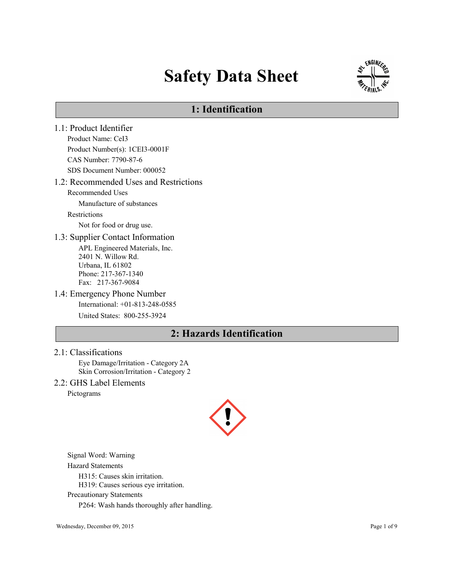# Safety Data Sheet



# 1: Identification

- 1.1: Product Identifier Product Name: CeI3 Product Number(s): 1CEI3-0001F CAS Number: 7790-87-6 SDS Document Number: 000052 1.2: Recommended Uses and Restrictions Recommended Uses Manufacture of substances Restrictions Not for food or drug use. 1.3: Supplier Contact Information APL Engineered Materials, Inc. 2401 N. Willow Rd. Urbana, IL 61802 Phone: 217-367-1340 Fax: 217-367-9084 1.4: Emergency Phone Number International: +01-813-248-0585 United States: 800-255-3924 2: Hazards Identification
- 2.1: Classifications

Eye Damage/Irritation - Category 2A Skin Corrosion/Irritation - Category 2

2.2: GHS Label Elements

Pictograms



Signal Word: Warning

Hazard Statements

H315: Causes skin irritation.

H319: Causes serious eye irritation.

Precautionary Statements

P264: Wash hands thoroughly after handling.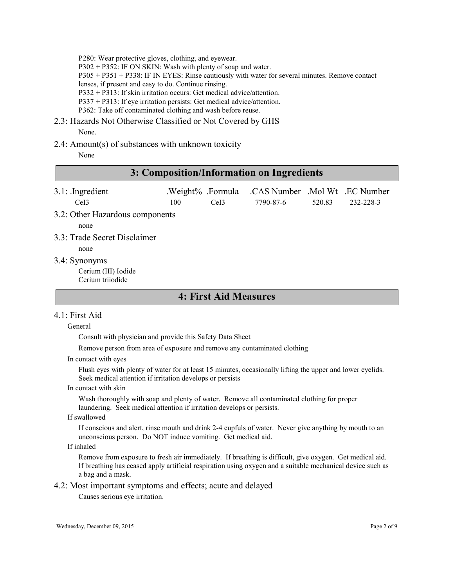P280: Wear protective gloves, clothing, and eyewear.

P302 + P352: IF ON SKIN: Wash with plenty of soap and water.

P305 + P351 + P338: IF IN EYES: Rinse cautiously with water for several minutes. Remove contact

lenses, if present and easy to do. Continue rinsing.

P332 + P313: If skin irritation occurs: Get medical advice/attention.

P337 + P313: If eye irritation persists: Get medical advice/attention.

P362: Take off contaminated clothing and wash before reuse.

# 2.3: Hazards Not Otherwise Classified or Not Covered by GHS

None.

2.4: Amount(s) of substances with unknown toxicity

None

# 3: Composition/Information on Ingredients

| $3.1$ : Ingredient<br>Ce <sub>I</sub> 3 | .Weight% .Formula<br>100 | CeI3 | CAS Number Mol Wt EC Number<br>7790-87-6 | 520.83 | 232-228-3 |
|-----------------------------------------|--------------------------|------|------------------------------------------|--------|-----------|
| 3.2: Other Hazardous components<br>none |                          |      |                                          |        |           |
| 3.3: Trade Secret Disclaimer            |                          |      |                                          |        |           |
| none                                    |                          |      |                                          |        |           |
| 3.4: Synonyms                           |                          |      |                                          |        |           |

Cerium (III) Iodide Cerium triiodide

# 4: First Aid Measures

### $4.1$  First Aid

#### General

Consult with physician and provide this Safety Data Sheet

Remove person from area of exposure and remove any contaminated clothing

#### In contact with eyes

Flush eyes with plenty of water for at least 15 minutes, occasionally lifting the upper and lower eyelids. Seek medical attention if irritation develops or persists

In contact with skin

Wash thoroughly with soap and plenty of water. Remove all contaminated clothing for proper laundering. Seek medical attention if irritation develops or persists.

#### If swallowed

If conscious and alert, rinse mouth and drink 2-4 cupfuls of water. Never give anything by mouth to an unconscious person. Do NOT induce vomiting. Get medical aid.

#### If inhaled

Remove from exposure to fresh air immediately. If breathing is difficult, give oxygen. Get medical aid. If breathing has ceased apply artificial respiration using oxygen and a suitable mechanical device such as a bag and a mask.

4.2: Most important symptoms and effects; acute and delayed

Causes serious eye irritation.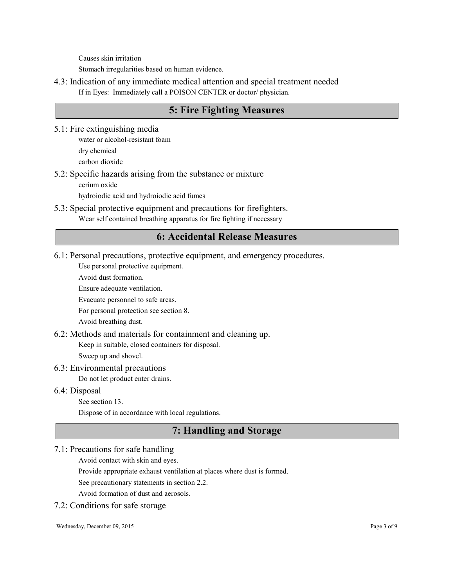Causes skin irritation

Stomach irregularities based on human evidence.

4.3: Indication of any immediate medical attention and special treatment needed If in Eyes: Immediately call a POISON CENTER or doctor/ physician.

# 5: Fire Fighting Measures

5.1: Fire extinguishing media

water or alcohol-resistant foam

dry chemical

carbon dioxide

5.2: Specific hazards arising from the substance or mixture

cerium oxide

hydroiodic acid and hydroiodic acid fumes

5.3: Special protective equipment and precautions for firefighters.

Wear self contained breathing apparatus for fire fighting if necessary

# 6: Accidental Release Measures

- 6.1: Personal precautions, protective equipment, and emergency procedures.
	- Use personal protective equipment.

Avoid dust formation.

Ensure adequate ventilation.

Evacuate personnel to safe areas.

For personal protection see section 8.

Avoid breathing dust.

# 6.2: Methods and materials for containment and cleaning up.

Keep in suitable, closed containers for disposal.

Sweep up and shovel.

# 6.3: Environmental precautions

Do not let product enter drains.

6.4: Disposal

See section 13.

Dispose of in accordance with local regulations.

# 7: Handling and Storage

# 7.1: Precautions for safe handling

Avoid contact with skin and eyes.

Provide appropriate exhaust ventilation at places where dust is formed.

See precautionary statements in section 2.2.

Avoid formation of dust and aerosols.

### 7.2: Conditions for safe storage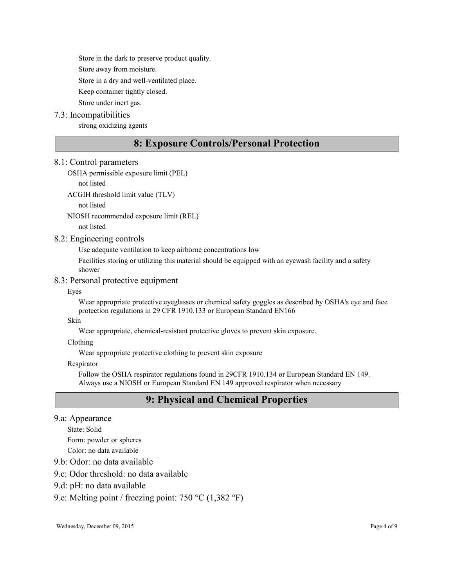Store in the dark to preserve product quality.

Store away from moisture.

Store in a dry and well-ventilated place.

Keep container tightly closed.

Store under inert gas.

## 7.3: Incompatibilities

strong oxidizing agents

# 8: Exposure Controls/Personal Protection

# 8.1: Control parameters

OSHA permissible exposure limit (PEL)

not listed

ACGIH threshold limit value (TLV)

not listed

NIOSH recommended exposure limit (REL)

not listed

### 8.2: Engineering controls

Use adequate ventilation to keep airborne concentrations low

Facilities storing or utilizing this material should be equipped with an eyewash facility and a safety shower

### 8.3: Personal protective equipment

#### Eyes

Wear appropriate protective eyeglasses or chemical safety goggles as described by OSHA's eye and face protection regulations in 29 CFR 1910.133 or European Standard EN166

### Skin

Wear appropriate, chemical-resistant protective gloves to prevent skin exposure.

### Clothing

Wear appropriate protective clothing to prevent skin exposure

### Respirator

Follow the OSHA respirator regulations found in 29CFR 1910.134 or European Standard EN 149. Always use a NIOSH or European Standard EN 149 approved respirator when necessary

# 9: Physical and Chemical Properties

### 9.a: Appearance

State: Solid

Form: powder or spheres

Color: no data available

9.b: Odor: no data available

9.c: Odor threshold: no data available

# 9.d: pH: no data available

9.e: Melting point / freezing point: 750 °C (1,382 °F)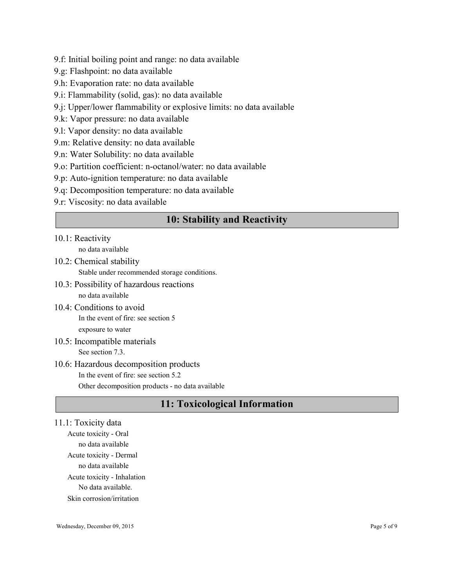- 9.f: Initial boiling point and range: no data available
- 9.g: Flashpoint: no data available
- 9.h: Evaporation rate: no data available
- 9.i: Flammability (solid, gas): no data available
- 9.j: Upper/lower flammability or explosive limits: no data available
- 9.k: Vapor pressure: no data available
- 9.l: Vapor density: no data available
- 9.m: Relative density: no data available
- 9.n: Water Solubility: no data available
- 9.o: Partition coefficient: n-octanol/water: no data available
- 9.p: Auto-ignition temperature: no data available
- 9.q: Decomposition temperature: no data available
- 9.r: Viscosity: no data available

# 10: Stability and Reactivity

# 10.1: Reactivity

no data available

- 10.2: Chemical stability Stable under recommended storage conditions.
- 10.3: Possibility of hazardous reactions no data available
- 10.4: Conditions to avoid In the event of fire: see section 5 exposure to water
- 10.5: Incompatible materials See section 7.3.

# 10.6: Hazardous decomposition products In the event of fire: see section 5.2 Other decomposition products - no data available

# 11: Toxicological Information

# 11.1: Toxicity data

Acute toxicity - Oral no data available Acute toxicity - Dermal no data available Acute toxicity - Inhalation No data available. Skin corrosion/irritation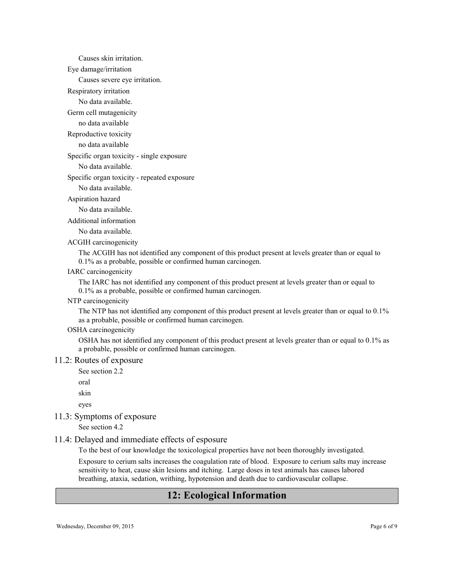Causes skin irritation.

Eye damage/irritation

Causes severe eye irritation.

Respiratory irritation

No data available.

Germ cell mutagenicity

no data available

Reproductive toxicity

no data available

Specific organ toxicity - single exposure

No data available.

#### Specific organ toxicity - repeated exposure

No data available.

#### Aspiration hazard

No data available.

Additional information

No data available.

ACGIH carcinogenicity

The ACGIH has not identified any component of this product present at levels greater than or equal to 0.1% as a probable, possible or confirmed human carcinogen.

#### IARC carcinogenicity

The IARC has not identified any component of this product present at levels greater than or equal to 0.1% as a probable, possible or confirmed human carcinogen.

NTP carcinogenicity

The NTP has not identified any component of this product present at levels greater than or equal to 0.1% as a probable, possible or confirmed human carcinogen.

#### OSHA carcinogenicity

OSHA has not identified any component of this product present at levels greater than or equal to 0.1% as a probable, possible or confirmed human carcinogen.

#### 11.2: Routes of exposure

See section 2.2

oral

skin

eyes

11.3: Symptoms of exposure

See section 4.2

## 11.4: Delayed and immediate effects of esposure

To the best of our knowledge the toxicological properties have not been thoroughly investigated.

Exposure to cerium salts increases the coagulation rate of blood. Exposure to cerium salts may increase sensitivity to heat, cause skin lesions and itching. Large doses in test animals has causes labored breathing, ataxia, sedation, writhing, hypotension and death due to cardiovascular collapse.

# 12: Ecological Information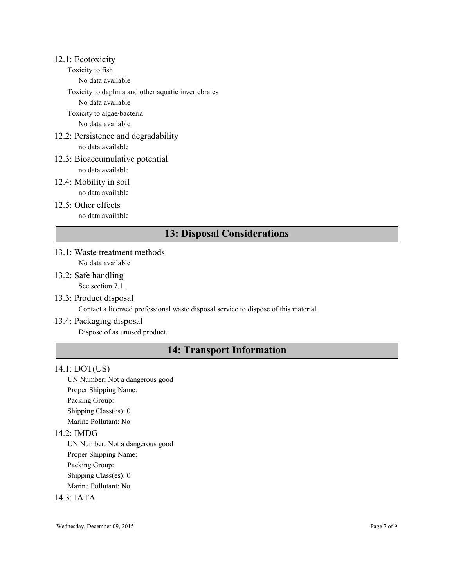### 12.1: Ecotoxicity

- Toxicity to fish
	- No data available
- Toxicity to daphnia and other aquatic invertebrates
	- No data available

Toxicity to algae/bacteria

No data available

- 12.2: Persistence and degradability no data available
- 12.3: Bioaccumulative potential

no data available

- 12.4: Mobility in soil no data available
- 12.5: Other effects no data available

# 13: Disposal Considerations

- 13.1: Waste treatment methods No data available
- 13.2: Safe handling See section 7.1 .
- 13.3: Product disposal

Contact a licensed professional waste disposal service to dispose of this material.

13.4: Packaging disposal

Dispose of as unused product.

# 14: Transport Information

# 14.1: DOT(US)

UN Number: Not a dangerous good Proper Shipping Name: Packing Group: Shipping Class(es): 0 Marine Pollutant: No

# 14.2: IMDG

UN Number: Not a dangerous good Proper Shipping Name: Packing Group: Shipping Class(es): 0 Marine Pollutant: No

# 14.3: IATA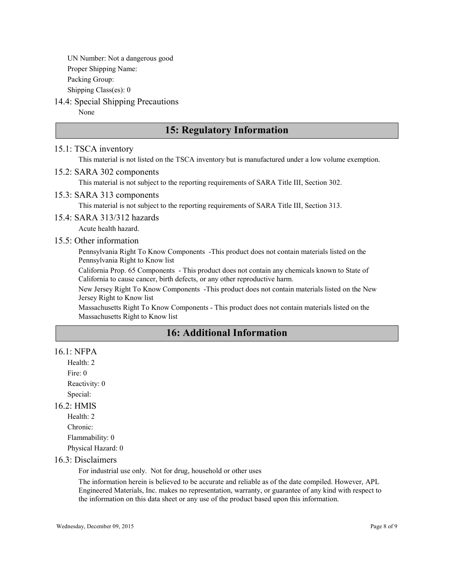UN Number: Not a dangerous good Proper Shipping Name: Packing Group: Shipping Class(es): 0

### 14.4: Special Shipping Precautions

None

# 15: Regulatory Information

#### 15.1: TSCA inventory

This material is not listed on the TSCA inventory but is manufactured under a low volume exemption.

#### 15.2: SARA 302 components

This material is not subject to the reporting requirements of SARA Title III, Section 302.

#### 15.3: SARA 313 components

This material is not subject to the reporting requirements of SARA Title III, Section 313.

#### 15.4: SARA 313/312 hazards

Acute health hazard.

### 15.5: Other information

Pennsylvania Right To Know Components -This product does not contain materials listed on the Pennsylvania Right to Know list

California Prop. 65 Components - This product does not contain any chemicals known to State of California to cause cancer, birth defects, or any other reproductive harm.

New Jersey Right To Know Components -This product does not contain materials listed on the New Jersey Right to Know list

Massachusetts Right To Know Components - This product does not contain materials listed on the Massachusetts Right to Know list

# 16: Additional Information

### $16.1 \cdot \text{NFPA}$

Health: 2

Fire: 0

Reactivity: 0 Special:

#### 16.2: HMIS

Health: 2 Chronic: Flammability: 0 Physical Hazard: 0

#### 16.3: Disclaimers

For industrial use only. Not for drug, household or other uses

The information herein is believed to be accurate and reliable as of the date compiled. However, APL Engineered Materials, Inc. makes no representation, warranty, or guarantee of any kind with respect to the information on this data sheet or any use of the product based upon this information.